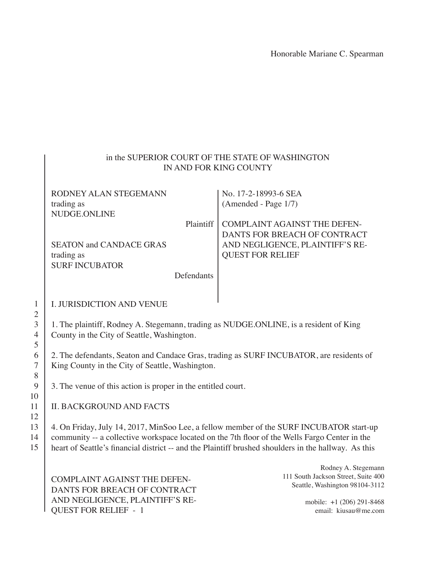Honorable Mariane C. Spearman

#### in the SUPERIOR COURT OF THE STATE OF WASHINGTON IN AND FOR KING COUNTY

| RODNEY ALAN STEGEMANN          |            | No. 17-2-18993-6 SEA                |
|--------------------------------|------------|-------------------------------------|
| trading as                     |            | (Amended - Page 1/7)                |
| NUDGE.ONLINE                   |            |                                     |
|                                | Plaintiff  | <b>COMPLAINT AGAINST THE DEFEN-</b> |
|                                |            | DANTS FOR BREACH OF CONTRACT        |
| <b>SEATON and CANDACE GRAS</b> |            | AND NEGLIGENCE, PLAINTIFF'S RE-     |
| trading as                     |            | <b>QUEST FOR RELIEF</b>             |
| <b>SURF INCUBATOR</b>          |            |                                     |
|                                | Defendants |                                     |
|                                |            |                                     |

#### I. JURISDICTION AND VENUE

1. The plaintiff, Rodney A. Stegemann, trading as NUDGE.ONLINE, is a resident of King County in the City of Seattle, Washington.

2. The defendants, Seaton and Candace Gras, trading as SURF INCUBATOR, are residents of King County in the City of Seattle, Washington.

3. The venue of this action is proper in the entitled court.

#### II. BACKGROUND AND FACTS

4. On Friday, July 14, 2017, MinSoo Lee, a fellow member of the SURF INCUBATOR start-up community -- a collective workspace located on the 7th floor of the Wells Fargo Center in the heart of Seattle's financial district -- and the Plaintiff brushed shoulders in the hallway. As this

COMPLAINT AGAINST THE DEFEN-DANTS FOR BREACH OF CONTRACT AND NEGLIGENCE, PLAINTIFF'S RE-QUEST FOR RELIEF - 1

Rodney A. Stegemann 111 South Jackson Street, Suite 400 Seattle, Washington 98104-3112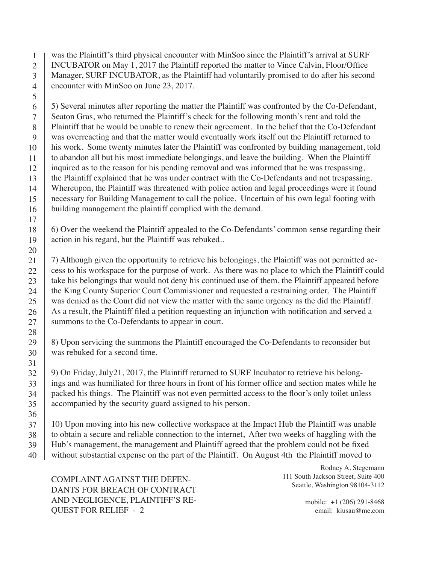was the Plaintiff's third physical encounter with MinSoo since the Plaintiff's arrival at SURF INCUBATOR on May 1, 2017 the Plaintiff reported the matter to Vince Calvin, Floor/Office Manager, SURF INCUBATOR, as the Plaintiff had voluntarily promised to do after his second encounter with MinSoo on June 23, 2017. 1 2 3 4

5) Several minutes after reporting the matter the Plaintiff was confronted by the Co-Defendant, Seaton Gras, who returned the Plaintiff's check for the following month's rent and told the Plaintiff that he would be unable to renew their agreement. In the belief that the Co-Defendant was overreacting and that the matter would eventually work itself out the Plaintiff returned to his work. Some twenty minutes later the Plaintiff was confronted by building management, told to abandon all but his most immediate belongings, and leave the building. When the Plaintiff inquired as to the reason for his pending removal and was informed that he was trespassing, the Plaintiff explained that he was under contract with the Co-Defendants and not trespassing. Whereupon, the Plaintiff was threatened with police action and legal proceedings were it found necessary for Building Management to call the police. Uncertain of his own legal footing with building management the plaintiff complied with the demand. 6 7 8 9 10 11 12 13 14 15 16

6) Over the weekend the Plaintiff appealed to the Co-Defendants' common sense regarding their action in his regard, but the Plaintiff was rebuked..

7) Although given the opportunity to retrieve his belongings, the Plaintiff was not permitted access to his workspace for the purpose of work. As there was no place to which the Plaintiff could take his belongings that would not deny his continued use of them, the Plaintiff appeared before the King County Superior Court Commissioner and requested a restraining order. The Plaintiff was denied as the Court did not view the matter with the same urgency as the did the Plaintiff. As a result, the Plaintiff filed a petition requesting an injunction with notification and served a summons to the Co-Defendants to appear in court.

8) Upon servicing the summons the Plaintiff encouraged the Co-Defendants to reconsider but was rebuked for a second time.

9) On Friday, July21, 2017, the Plaintiff returned to SURF Incubator to retrieve his belongings and was humiliated for three hours in front of his former office and section mates while he packed his things. The Plaintiff was not even permitted access to the floor's only toilet unless accompanied by the security guard assigned to his person. 32 33 34 35

10) Upon moving into his new collective workspace at the Impact Hub the Plaintiff was unable to obtain a secure and reliable connection to the internet, After two weeks of haggling with the Hub's management, the management and Plaintiff agreed that the problem could not be fixed without substantial expense on the part of the Plaintiff. On August 4th the Plaintiff moved to 37 38 39 40

COMPLAINT AGAINST THE DEFEN-DANTS FOR BREACH OF CONTRACT AND NEGLIGENCE, PLAINTIFF'S RE-QUEST FOR RELIEF - 2

5

36

Rodney A. Stegemann 111 South Jackson Street, Suite 400 Seattle, Washington 98104-3112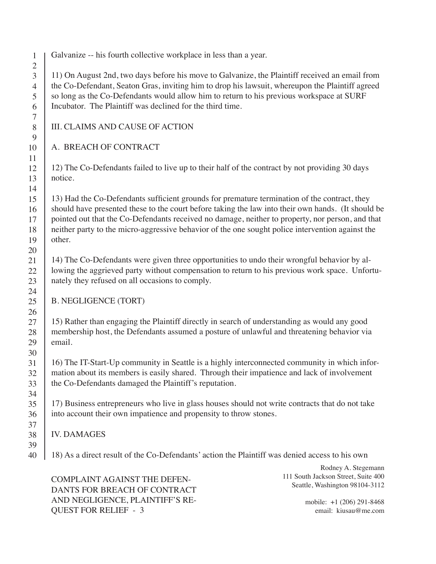1 2 3 Galvanize -- his fourth collective workplace in less than a year.

11) On August 2nd, two days before his move to Galvanize, the Plaintiff received an email from the Co-Defendant, Seaton Gras, inviting him to drop his lawsuit, whereupon the Plaintiff agreed so long as the Co-Defendants would allow him to return to his previous workspace at SURF Incubator. The Plaintiff was declined for the third time.

## III. CLAIMS AND CAUSE OF ACTION

# A. BREACH OF CONTRACT

12) The Co-Defendants failed to live up to their half of the contract by not providing 30 days

13) Had the Co-Defendants sufficient grounds for premature termination of the contract, they should have presented these to the court before taking the law into their own hands. (It should be pointed out that the Co-Defendants received no damage, neither to property, nor person, and that neither party to the micro-aggressive behavior of the one sought police intervention against the

14) The Co-Defendants were given three opportunities to undo their wrongful behavior by allowing the aggrieved party without compensation to return to his previous work space. Unfortunately they refused on all occasions to comply.

## B. NEGLIGENCE (TORT)

15) Rather than engaging the Plaintiff directly in search of understanding as would any good membership host, the Defendants assumed a posture of unlawful and threatening behavior via

16) The IT-Start-Up community in Seattle is a highly interconnected community in which information about its members is easily shared. Through their impatience and lack of involvement the Co-Defendants damaged the Plaintiff's reputation.

17) Business entrepreneurs who live in glass houses should not write contracts that do not take into account their own impatience and propensity to throw stones.

# IV. DAMAGES

18) As a direct result of the Co-Defendants' action the Plaintiff was denied access to his own

COMPLAINT AGAINST THE DEFEN-DANTS FOR BREACH OF CONTRACT AND NEGLIGENCE, PLAINTIFF'S RE-QUEST FOR RELIEF - 3

Rodney A. Stegemann 111 South Jackson Street, Suite 400 Seattle, Washington 98104-3112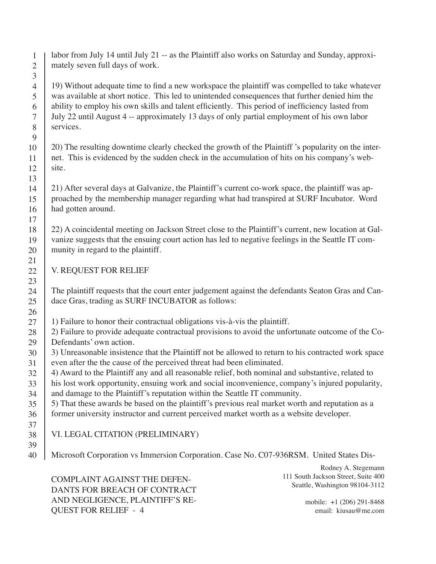labor from July 14 until July 21 -- as the Plaintiff also works on Saturday and Sunday, approximately seven full days of work.

19) Without adequate time to find a new workspace the plaintiff was compelled to take whatever was available at short notice. This led to unintended consequences that further denied him the ability to employ his own skills and talent efficiently. This period of inefficiency lasted from July 22 until August 4 -- approximately 13 days of only partial employment of his own labor services.

20) The resulting downtime clearly checked the growth of the Plaintiff 's popularity on the internet. This is evidenced by the sudden check in the accumulation of hits on his company's website.

21) After several days at Galvanize, the Plaintiff's current co-work space, the plaintiff was approached by the membership manager regarding what had transpired at SURF Incubator. Word had gotten around.

22) A coincidental meeting on Jackson Street close to the Plaintiff's current, new location at Galvanize suggests that the ensuing court action has led to negative feelings in the Seattle IT community in regard to the plaintiff.

V. REQUEST FOR RELIEF

The plaintiff requests that the court enter judgement against the defendants Seaton Gras and Candace Gras, trading as SURF INCUBATOR as follows:

1) Failure to honor their contractual obligations vis-à-vis the plaintiff.

2) Failure to provide adequate contractual provisions to avoid the unfortunate outcome of the Co-Defendants' own action. 28 29

- 3) Unreasonable insistence that the Plaintiff not be allowed to return to his contracted work space even after the the cause of the perceived threat had been eliminated. 30 31
- 4) Award to the Plaintiff any and all reasonable relief, both nominal and substantive, related to 32
- his lost work opportunity, ensuing work and social inconvenience, company's injured popularity, 33
- and damage to the Plaintiff's reputation within the Seattle IT community. 34
- 5) That these awards be based on the plaintiff's previous real market worth and reputation as a former university instructor and current perceived market worth as a website developer. 35 36
- 37 38

39

## VI. LEGAL CITATION (PRELIMINARY)

Microsoft Corporation vs Immersion Corporation. Case No. C07-936RSM. United States Dis-40

COMPLAINT AGAINST THE DEFEN-DANTS FOR BREACH OF CONTRACT AND NEGLIGENCE, PLAINTIFF'S RE-QUEST FOR RELIEF - 4

Rodney A. Stegemann 111 South Jackson Street, Suite 400 Seattle, Washington 98104-3112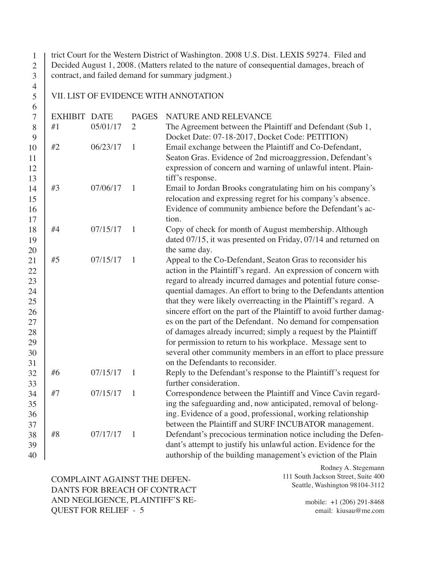trict Court for the Western District of Washington. 2008 U.S. Dist. LEXIS 59274. Filed and Decided August 1, 2008. (Matters related to the nature of consequential damages, breach of contract, and failed demand for summary judgment.) 1 2 3

#### VII. LIST OF EVIDENCE WITH ANNOTATION

4 5 6

| $\overline{7}$ | <b>EXHIBIT DATE</b> |          | <b>PAGES</b>   | NATURE AND RELEVANCE                                                |
|----------------|---------------------|----------|----------------|---------------------------------------------------------------------|
| 8              | #1                  | 05/01/17 | $\overline{2}$ | The Agreement between the Plaintiff and Defendant (Sub 1,           |
| 9              |                     |          |                | Docket Date: 07-18-2017, Docket Code: PETITION)                     |
| 10             | #2                  | 06/23/17 | $\mathbf{1}$   | Email exchange between the Plaintiff and Co-Defendant,              |
| 11             |                     |          |                | Seaton Gras. Evidence of 2nd microaggression, Defendant's           |
| 12             |                     |          |                | expression of concern and warning of unlawful intent. Plain-        |
| 13             |                     |          |                | tiff's response.                                                    |
| 14             | #3                  | 07/06/17 | $\mathbf{1}$   | Email to Jordan Brooks congratulating him on his company's          |
| 15             |                     |          |                | relocation and expressing regret for his company's absence.         |
| 16             |                     |          |                | Evidence of community ambience before the Defendant's ac-           |
| 17             |                     |          |                | tion.                                                               |
| 18             | #4                  | 07/15/17 | $\mathbf{1}$   | Copy of check for month of August membership. Although              |
| 19             |                     |          |                | dated 07/15, it was presented on Friday, 07/14 and returned on      |
| 20             |                     |          |                | the same day.                                                       |
| 21             | #5                  | 07/15/17 | $\mathbf{1}$   | Appeal to the Co-Defendant, Seaton Gras to reconsider his           |
| 22             |                     |          |                | action in the Plaintiff's regard. An expression of concern with     |
| 23             |                     |          |                | regard to already incurred damages and potential future conse-      |
| 24             |                     |          |                | quential damages. An effort to bring to the Defendants attention    |
| 25             |                     |          |                | that they were likely overreacting in the Plaintiff's regard. A     |
| 26             |                     |          |                | sincere effort on the part of the Plaintiff to avoid further damag- |
| 27             |                     |          |                | es on the part of the Defendant. No demand for compensation         |
| 28             |                     |          |                | of damages already incurred; simply a request by the Plaintiff      |
| 29             |                     |          |                | for permission to return to his workplace. Message sent to          |
| 30             |                     |          |                | several other community members in an effort to place pressure      |
| 31             |                     |          |                | on the Defendants to reconsider.                                    |
| 32             | #6                  | 07/15/17 | $\mathbf{1}$   | Reply to the Defendant's response to the Plaintiff's request for    |
| 33             |                     |          |                | further consideration.                                              |
| 34             | #7                  | 07/15/17 | $\mathbf{1}$   | Correspondence between the Plaintiff and Vince Cavin regard-        |
| 35             |                     |          |                | ing the safeguarding and, now anticipated, removal of belong-       |
| 36             |                     |          |                | ing. Evidence of a good, professional, working relationship         |
| 37             |                     |          |                | between the Plaintiff and SURF INCUBATOR management.                |
| 38             | $\#8$               | 07/17/17 | $\mathbf{1}$   | Defendant's precocious termination notice including the Defen-      |
| 39             |                     |          |                | dant's attempt to justify his unlawful action. Evidence for the     |
| 40             |                     |          |                | authorship of the building management's eviction of the Plain       |

COMPLAINT AGAINST THE DEFEN-DANTS FOR BREACH OF CONTRACT AND NEGLIGENCE, PLAINTIFF'S RE-QUEST FOR RELIEF - 5

Rodney A. Stegemann 111 South Jackson Street, Suite 400 Seattle, Washington 98104-3112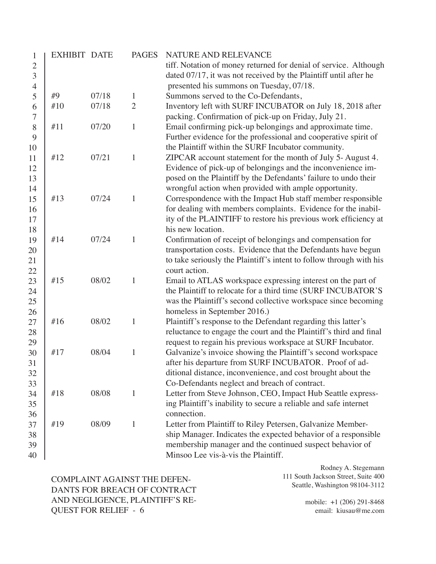| 1              | <b>EXHIBIT DATE</b> |                | <b>PAGES</b>                   | NATURE AND RELEVANCE                                                                                                                |
|----------------|---------------------|----------------|--------------------------------|-------------------------------------------------------------------------------------------------------------------------------------|
| $\overline{2}$ |                     |                |                                | tiff. Notation of money returned for denial of service. Although                                                                    |
| 3              |                     |                |                                | dated 07/17, it was not received by the Plaintiff until after he                                                                    |
| $\overline{4}$ |                     |                |                                | presented his summons on Tuesday, 07/18.                                                                                            |
| 5              | #9<br>#10           | 07/18<br>07/18 | $\mathbf{1}$<br>$\overline{2}$ | Summons served to the Co-Defendants,                                                                                                |
| 6<br>7         |                     |                |                                | Inventory left with SURF INCUBATOR on July 18, 2018 after<br>packing. Confirmation of pick-up on Friday, July 21.                   |
| 8              | #11                 | 07/20          | $\mathbf{1}$                   | Email confirming pick-up belongings and approximate time.                                                                           |
| 9              |                     |                |                                | Further evidence for the professional and cooperative spirit of                                                                     |
| 10             |                     |                |                                | the Plaintiff within the SURF Incubator community.                                                                                  |
| 11             | #12                 | 07/21          | $\mathbf{1}$                   | ZIPCAR account statement for the month of July 5-August 4.                                                                          |
| 12             |                     |                |                                | Evidence of pick-up of belongings and the inconvenience im-                                                                         |
| 13             |                     |                |                                | posed on the Plaintiff by the Defendants' failure to undo their                                                                     |
| 14             |                     |                |                                | wrongful action when provided with ample opportunity.                                                                               |
| 15             | #13                 | 07/24          | $\mathbf{1}$                   | Correspondence with the Impact Hub staff member responsible                                                                         |
| 16             |                     |                |                                | for dealing with members complaints. Evidence for the inabil-                                                                       |
| 17             |                     |                |                                | ity of the PLAINTIFF to restore his previous work efficiency at                                                                     |
| 18             |                     |                |                                | his new location.                                                                                                                   |
| 19             | #14                 | 07/24          | $\mathbf{1}$                   | Confirmation of receipt of belongings and compensation for                                                                          |
| 20             |                     |                |                                | transportation costs. Evidence that the Defendants have begun                                                                       |
| 21             |                     |                |                                | to take seriously the Plaintiff's intent to follow through with his                                                                 |
| 22             |                     |                |                                | court action.                                                                                                                       |
| 23             | #15                 | 08/02          | 1                              | Email to ATLAS workspace expressing interest on the part of                                                                         |
| 24             |                     |                |                                | the Plaintiff to relocate for a third time (SURF INCUBATOR'S                                                                        |
| 25             |                     |                |                                | was the Plaintiff's second collective workspace since becoming                                                                      |
| 26             | #16                 | 08/02          | $\mathbf{1}$                   | homeless in September 2016.)                                                                                                        |
| 27             |                     |                |                                | Plaintiff's response to the Defendant regarding this latter's<br>reluctance to engage the court and the Plaintiff's third and final |
| 28<br>29       |                     |                |                                | request to regain his previous workspace at SURF Incubator.                                                                         |
| 30             | #17                 | 08/04          | $\mathbf{1}$                   | Galvanize's invoice showing the Plaintiff's second workspace                                                                        |
| 31             |                     |                |                                | after his departure from SURF INCUBATOR. Proof of ad-                                                                               |
| 32             |                     |                |                                | ditional distance, inconvenience, and cost brought about the                                                                        |
| 33             |                     |                |                                | Co-Defendants neglect and breach of contract.                                                                                       |
| 34             | #18                 | 08/08          | $\mathbf{1}$                   | Letter from Steve Johnson, CEO, Impact Hub Seattle express-                                                                         |
| 35             |                     |                |                                | ing Plaintiff's inability to secure a reliable and safe internet                                                                    |
| 36             |                     |                |                                | connection.                                                                                                                         |
| 37             | #19                 | 08/09          | 1                              | Letter from Plaintiff to Riley Petersen, Galvanize Member-                                                                          |
| 38             |                     |                |                                | ship Manager. Indicates the expected behavior of a responsible                                                                      |
| 39             |                     |                |                                | membership manager and the continued suspect behavior of                                                                            |
| 40             |                     |                |                                | Minsoo Lee vis-à-vis the Plaintiff.                                                                                                 |

COMPLAINT AGAINST THE DEFEN-DANTS FOR BREACH OF CONTRACT AND NEGLIGENCE, PLAINTIFF'S RE-QUEST FOR RELIEF - 6

Rodney A. Stegemann 111 South Jackson Street, Suite 400 Seattle, Washington 98104-3112